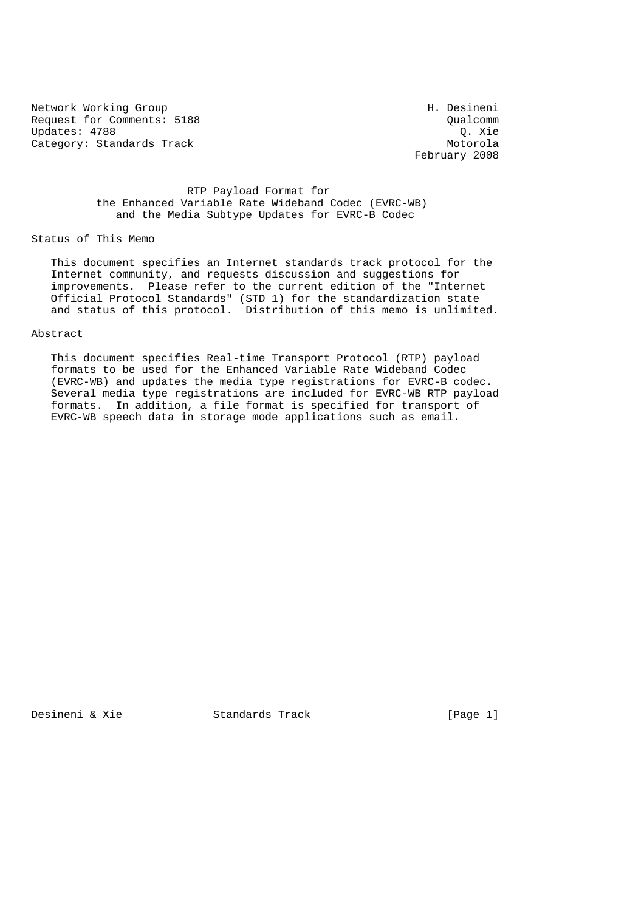Network Working Group<br>Request for Comments: 5188 and the control of the control of the control of the control of the control of the<br>Qualcomm Request for Comments: 5188<br>Updates: 4788 Qualcomm Updates: 4788 Category: Standards Track Motorola

February 2008

## RTP Payload Format for the Enhanced Variable Rate Wideband Codec (EVRC-WB) and the Media Subtype Updates for EVRC-B Codec

## Status of This Memo

 This document specifies an Internet standards track protocol for the Internet community, and requests discussion and suggestions for improvements. Please refer to the current edition of the "Internet Official Protocol Standards" (STD 1) for the standardization state and status of this protocol. Distribution of this memo is unlimited.

### Abstract

 This document specifies Real-time Transport Protocol (RTP) payload formats to be used for the Enhanced Variable Rate Wideband Codec (EVRC-WB) and updates the media type registrations for EVRC-B codec. Several media type registrations are included for EVRC-WB RTP payload formats. In addition, a file format is specified for transport of EVRC-WB speech data in storage mode applications such as email.

Desineni & Xie  $S$  Standards Track [Page 1]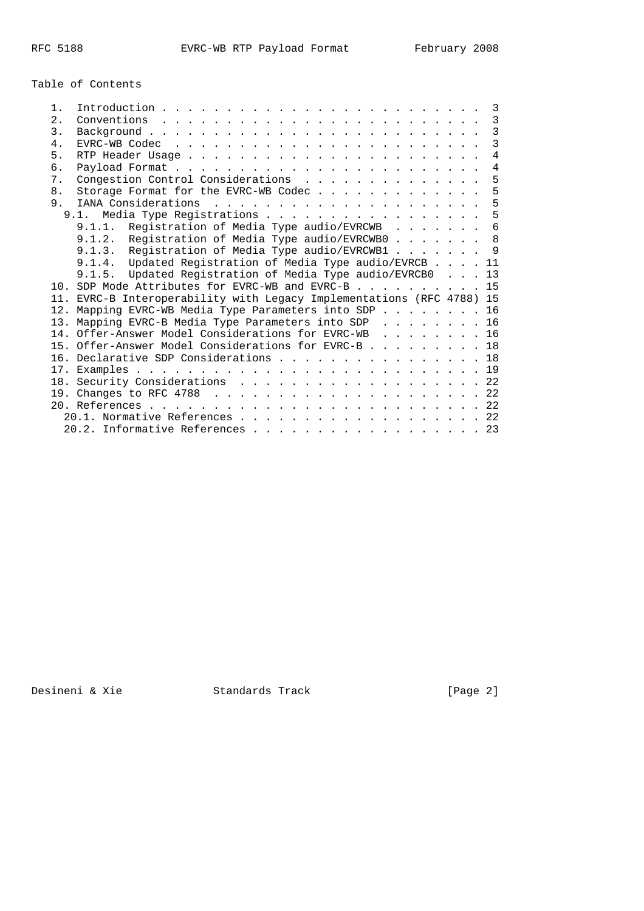Table of Contents

| $1$ .          |                                                                                                           |  |  | 3 |  |  |  |
|----------------|-----------------------------------------------------------------------------------------------------------|--|--|---|--|--|--|
| 2.1            |                                                                                                           |  |  | 3 |  |  |  |
| 3.             |                                                                                                           |  |  | 3 |  |  |  |
| $4$ .          | $EVRC-WB$ Codec $\ldots$ $\ldots$ $\ldots$ $\ldots$ $\ldots$ $\ldots$ $\ldots$ $\ldots$ $\ldots$ $\ldots$ |  |  | 3 |  |  |  |
| 5.             |                                                                                                           |  |  | 4 |  |  |  |
| б.             |                                                                                                           |  |  | 4 |  |  |  |
| $7$ .          | Congestion Control Considerations                                                                         |  |  | 5 |  |  |  |
| 8 <sub>1</sub> | Storage Format for the EVRC-WB Codec                                                                      |  |  | 5 |  |  |  |
| 9.             |                                                                                                           |  |  | 5 |  |  |  |
|                | 9.1. Media Type Registrations                                                                             |  |  | 5 |  |  |  |
|                | 9.1.1. Registration of Media Type audio/EVRCWB                                                            |  |  | 6 |  |  |  |
|                | 9.1.2. Registration of Media Type audio/EVRCWB0                                                           |  |  | 8 |  |  |  |
|                | 9.1.3. Registration of Media Type audio/EVRCWB1 9                                                         |  |  |   |  |  |  |
|                | 9.1.4. Updated Registration of Media Type audio/EVRCB 11                                                  |  |  |   |  |  |  |
|                | 9.1.5. Updated Registration of Media Type audio/EVRCB0 13                                                 |  |  |   |  |  |  |
|                | 10. SDP Mode Attributes for EVRC-WB and EVRC-B 15                                                         |  |  |   |  |  |  |
|                | 11. EVRC-B Interoperability with Legacy Implementations (RFC 4788) 15                                     |  |  |   |  |  |  |
|                | 12. Mapping EVRC-WB Media Type Parameters into SDP 16                                                     |  |  |   |  |  |  |
|                | 13. Mapping EVRC-B Media Type Parameters into SDP 16                                                      |  |  |   |  |  |  |
|                | 14. Offer-Answer Model Considerations for EVRC-WB 16                                                      |  |  |   |  |  |  |
|                |                                                                                                           |  |  |   |  |  |  |
|                | 15. Offer-Answer Model Considerations for EVRC-B 18                                                       |  |  |   |  |  |  |
|                | 16. Declarative SDP Considerations 18                                                                     |  |  |   |  |  |  |
|                |                                                                                                           |  |  |   |  |  |  |
|                |                                                                                                           |  |  |   |  |  |  |
|                | 18. Security Considerations 22                                                                            |  |  |   |  |  |  |
|                |                                                                                                           |  |  |   |  |  |  |
|                | 20.1. Normative References 22                                                                             |  |  |   |  |  |  |

Desineni & Xie Standards Track [Page 2]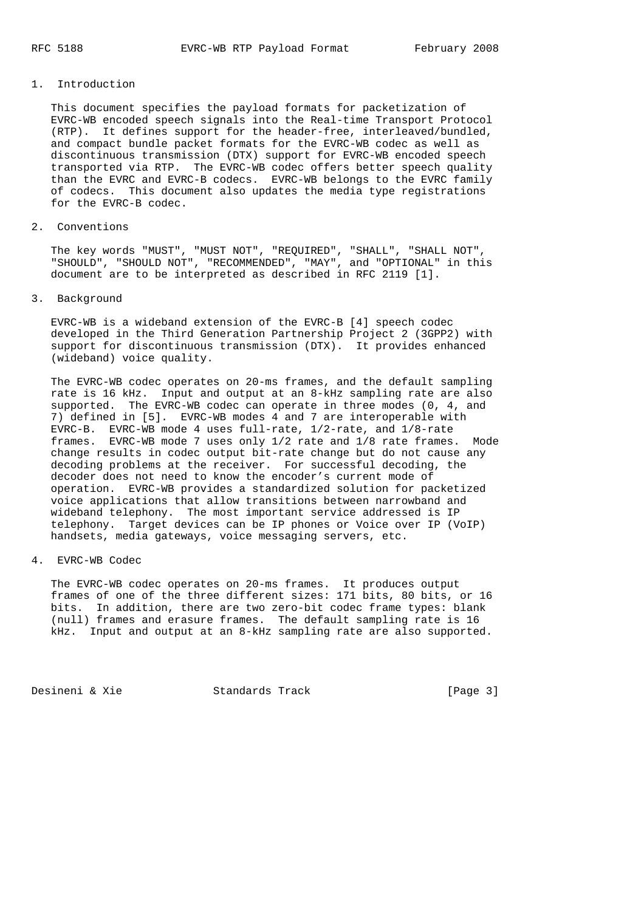## 1. Introduction

 This document specifies the payload formats for packetization of EVRC-WB encoded speech signals into the Real-time Transport Protocol (RTP). It defines support for the header-free, interleaved/bundled, and compact bundle packet formats for the EVRC-WB codec as well as discontinuous transmission (DTX) support for EVRC-WB encoded speech transported via RTP. The EVRC-WB codec offers better speech quality than the EVRC and EVRC-B codecs. EVRC-WB belongs to the EVRC family of codecs. This document also updates the media type registrations for the EVRC-B codec.

2. Conventions

 The key words "MUST", "MUST NOT", "REQUIRED", "SHALL", "SHALL NOT", "SHOULD", "SHOULD NOT", "RECOMMENDED", "MAY", and "OPTIONAL" in this document are to be interpreted as described in RFC 2119 [1].

3. Background

 EVRC-WB is a wideband extension of the EVRC-B [4] speech codec developed in the Third Generation Partnership Project 2 (3GPP2) with support for discontinuous transmission (DTX). It provides enhanced (wideband) voice quality.

 The EVRC-WB codec operates on 20-ms frames, and the default sampling rate is 16 kHz. Input and output at an 8-kHz sampling rate are also supported. The EVRC-WB codec can operate in three modes (0, 4, and 7) defined in [5]. EVRC-WB modes 4 and 7 are interoperable with EVRC-B. EVRC-WB mode 4 uses full-rate, 1/2-rate, and 1/8-rate frames. EVRC-WB mode 7 uses only 1/2 rate and 1/8 rate frames. Mode change results in codec output bit-rate change but do not cause any decoding problems at the receiver. For successful decoding, the decoder does not need to know the encoder's current mode of operation. EVRC-WB provides a standardized solution for packetized voice applications that allow transitions between narrowband and wideband telephony. The most important service addressed is IP telephony. Target devices can be IP phones or Voice over IP (VoIP) handsets, media gateways, voice messaging servers, etc.

4. EVRC-WB Codec

 The EVRC-WB codec operates on 20-ms frames. It produces output frames of one of the three different sizes: 171 bits, 80 bits, or 16 bits. In addition, there are two zero-bit codec frame types: blank (null) frames and erasure frames. The default sampling rate is 16 kHz. Input and output at an 8-kHz sampling rate are also supported.

Desineni & Xie Standards Track [Page 3]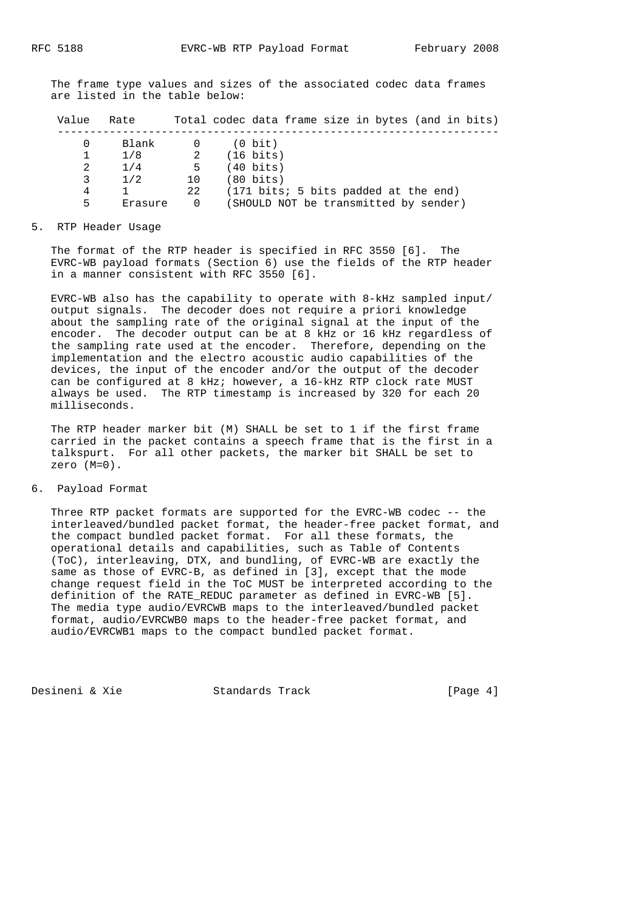The frame type values and sizes of the associated codec data frames are listed in the table below:

Value Rate Total codec data frame size in bytes (and in bits)

| $\Omega$ | Blank   |    | $(0 \text{ bit})$                     |
|----------|---------|----|---------------------------------------|
|          | 1/8     |    | $(16 \text{ bits})$                   |
| 2        | 1/4     | 5  | $(40 \text{ bits})$                   |
| 3        | 1/2     | 10 | $(80 \text{ bits})$                   |
| 4        |         | 22 | (171 bits; 5 bits padded at the end)  |
| 5        | Erasure |    | (SHOULD NOT be transmitted by sender) |
|          |         |    |                                       |

#### 5. RTP Header Usage

 The format of the RTP header is specified in RFC 3550 [6]. The EVRC-WB payload formats (Section 6) use the fields of the RTP header in a manner consistent with RFC 3550 [6].

 EVRC-WB also has the capability to operate with 8-kHz sampled input/ output signals. The decoder does not require a priori knowledge about the sampling rate of the original signal at the input of the encoder. The decoder output can be at 8 kHz or 16 kHz regardless of the sampling rate used at the encoder. Therefore, depending on the implementation and the electro acoustic audio capabilities of the devices, the input of the encoder and/or the output of the decoder can be configured at 8 kHz; however, a 16-kHz RTP clock rate MUST always be used. The RTP timestamp is increased by 320 for each 20 milliseconds.

 The RTP header marker bit (M) SHALL be set to 1 if the first frame carried in the packet contains a speech frame that is the first in a talkspurt. For all other packets, the marker bit SHALL be set to zero (M=0).

# 6. Payload Format

 Three RTP packet formats are supported for the EVRC-WB codec -- the interleaved/bundled packet format, the header-free packet format, and the compact bundled packet format. For all these formats, the operational details and capabilities, such as Table of Contents (ToC), interleaving, DTX, and bundling, of EVRC-WB are exactly the same as those of EVRC-B, as defined in [3], except that the mode change request field in the ToC MUST be interpreted according to the definition of the RATE\_REDUC parameter as defined in EVRC-WB [5]. The media type audio/EVRCWB maps to the interleaved/bundled packet format, audio/EVRCWB0 maps to the header-free packet format, and audio/EVRCWB1 maps to the compact bundled packet format.

Desineni & Xie Standards Track [Page 4]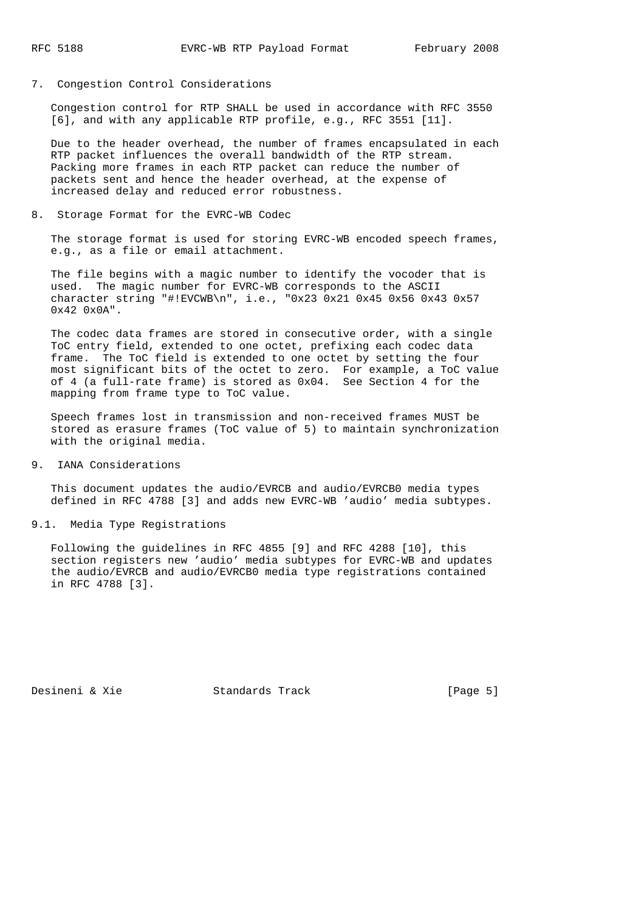7. Congestion Control Considerations

 Congestion control for RTP SHALL be used in accordance with RFC 3550 [6], and with any applicable RTP profile, e.g., RFC 3551 [11].

 Due to the header overhead, the number of frames encapsulated in each RTP packet influences the overall bandwidth of the RTP stream. Packing more frames in each RTP packet can reduce the number of packets sent and hence the header overhead, at the expense of increased delay and reduced error robustness.

8. Storage Format for the EVRC-WB Codec

 The storage format is used for storing EVRC-WB encoded speech frames, e.g., as a file or email attachment.

 The file begins with a magic number to identify the vocoder that is used. The magic number for EVRC-WB corresponds to the ASCII character string "#!EVCWB\n", i.e., "0x23 0x21 0x45 0x56 0x43 0x57  $0x42 0x0A"$ .

 The codec data frames are stored in consecutive order, with a single ToC entry field, extended to one octet, prefixing each codec data frame. The ToC field is extended to one octet by setting the four most significant bits of the octet to zero. For example, a ToC value of 4 (a full-rate frame) is stored as 0x04. See Section 4 for the mapping from frame type to ToC value.

 Speech frames lost in transmission and non-received frames MUST be stored as erasure frames (ToC value of 5) to maintain synchronization with the original media.

9. IANA Considerations

 This document updates the audio/EVRCB and audio/EVRCB0 media types defined in RFC 4788 [3] and adds new EVRC-WB 'audio' media subtypes.

9.1. Media Type Registrations

 Following the guidelines in RFC 4855 [9] and RFC 4288 [10], this section registers new 'audio' media subtypes for EVRC-WB and updates the audio/EVRCB and audio/EVRCB0 media type registrations contained in RFC 4788 [3].

Desineni & Xie  $S$  Standards Track [Page 5]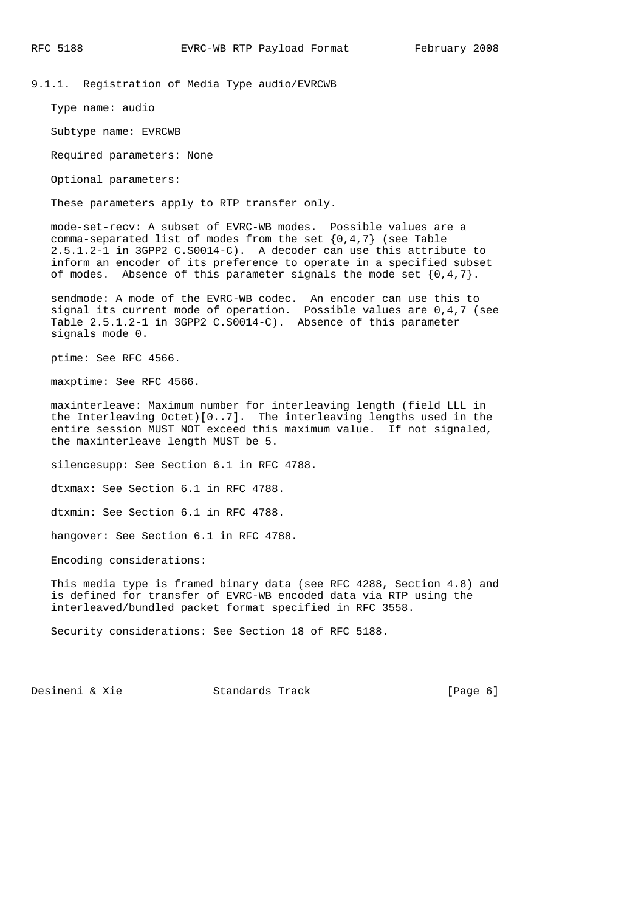9.1.1. Registration of Media Type audio/EVRCWB

Type name: audio

Subtype name: EVRCWB

Required parameters: None

Optional parameters:

These parameters apply to RTP transfer only.

 mode-set-recv: A subset of EVRC-WB modes. Possible values are a comma-separated list of modes from the set  $\{0,4,7\}$  (see Table 2.5.1.2-1 in 3GPP2 C.S0014-C). A decoder can use this attribute to inform an encoder of its preference to operate in a specified subset of modes. Absence of this parameter signals the mode set  $\{0,4,7\}$ .

 sendmode: A mode of the EVRC-WB codec. An encoder can use this to signal its current mode of operation. Possible values are 0,4,7 (see Table 2.5.1.2-1 in 3GPP2 C.S0014-C). Absence of this parameter signals mode 0.

ptime: See RFC 4566.

maxptime: See RFC 4566.

 maxinterleave: Maximum number for interleaving length (field LLL in the Interleaving Octet)[0..7]. The interleaving lengths used in the entire session MUST NOT exceed this maximum value. If not signaled, the maxinterleave length MUST be 5.

silencesupp: See Section 6.1 in RFC 4788.

dtxmax: See Section 6.1 in RFC 4788.

dtxmin: See Section 6.1 in RFC 4788.

hangover: See Section 6.1 in RFC 4788.

Encoding considerations:

 This media type is framed binary data (see RFC 4288, Section 4.8) and is defined for transfer of EVRC-WB encoded data via RTP using the interleaved/bundled packet format specified in RFC 3558.

Security considerations: See Section 18 of RFC 5188.

Desineni & Xie Standards Track [Page 6]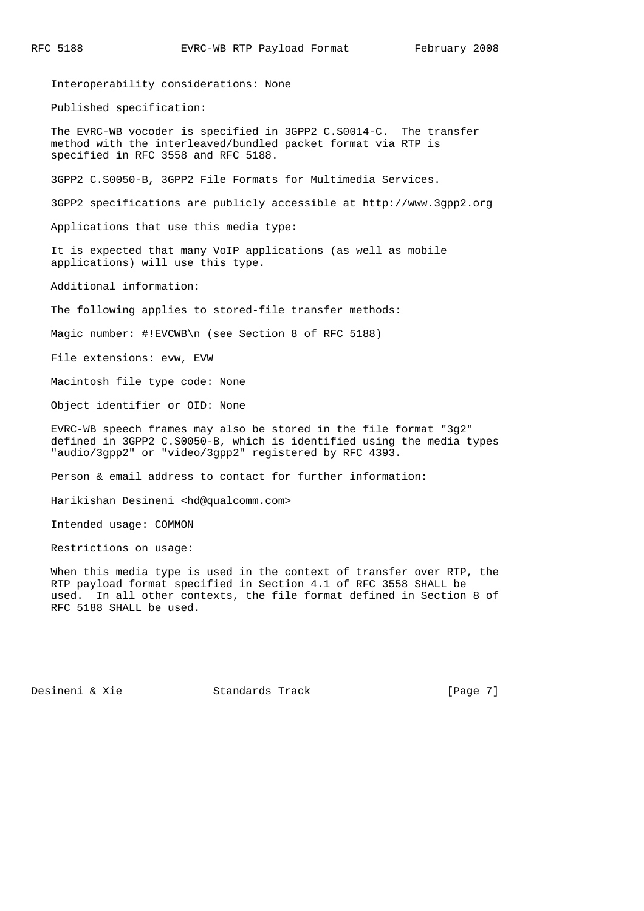Interoperability considerations: None

Published specification:

 The EVRC-WB vocoder is specified in 3GPP2 C.S0014-C. The transfer method with the interleaved/bundled packet format via RTP is specified in RFC 3558 and RFC 5188.

3GPP2 C.S0050-B, 3GPP2 File Formats for Multimedia Services.

3GPP2 specifications are publicly accessible at http://www.3gpp2.org

Applications that use this media type:

 It is expected that many VoIP applications (as well as mobile applications) will use this type.

Additional information:

The following applies to stored-file transfer methods:

Magic number: #!EVCWB\n (see Section 8 of RFC 5188)

File extensions: evw, EVW

Macintosh file type code: None

Object identifier or OID: None

 EVRC-WB speech frames may also be stored in the file format "3g2" defined in 3GPP2 C.S0050-B, which is identified using the media types "audio/3gpp2" or "video/3gpp2" registered by RFC 4393.

Person & email address to contact for further information:

Harikishan Desineni <hd@qualcomm.com>

Intended usage: COMMON

Restrictions on usage:

 When this media type is used in the context of transfer over RTP, the RTP payload format specified in Section 4.1 of RFC 3558 SHALL be used. In all other contexts, the file format defined in Section 8 of RFC 5188 SHALL be used.

Desineni & Xie Standards Track [Page 7]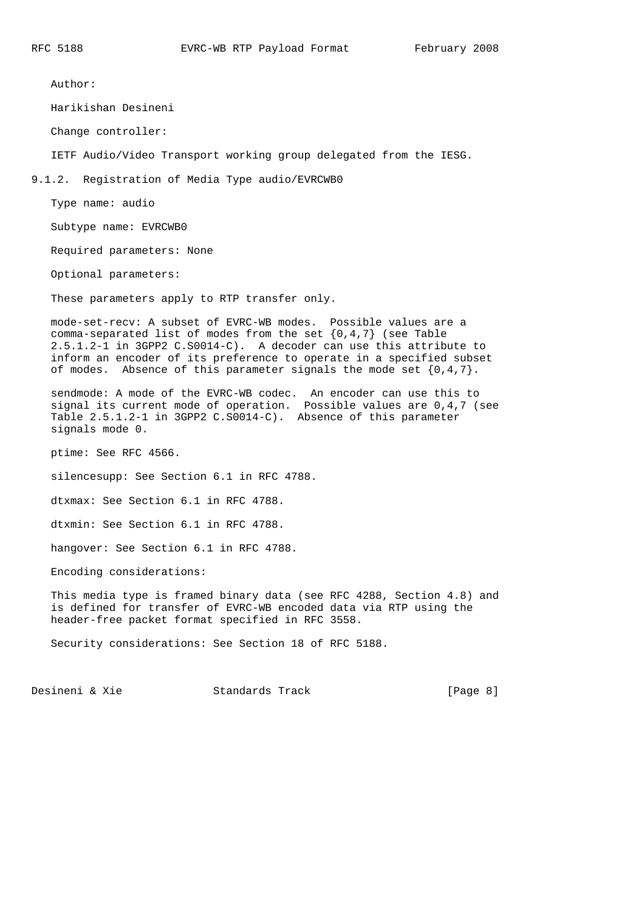Author:

Harikishan Desineni

Change controller:

IETF Audio/Video Transport working group delegated from the IESG.

9.1.2. Registration of Media Type audio/EVRCWB0

Type name: audio

Subtype name: EVRCWB0

Required parameters: None

Optional parameters:

These parameters apply to RTP transfer only.

 mode-set-recv: A subset of EVRC-WB modes. Possible values are a comma-separated list of modes from the set  $\{0,4,7\}$  (see Table 2.5.1.2-1 in 3GPP2 C.S0014-C). A decoder can use this attribute to inform an encoder of its preference to operate in a specified subset of modes. Absence of this parameter signals the mode set  $\{0,4,7\}$ .

 sendmode: A mode of the EVRC-WB codec. An encoder can use this to signal its current mode of operation. Possible values are 0,4,7 (see Table 2.5.1.2-1 in 3GPP2 C.S0014-C). Absence of this parameter signals mode 0.

ptime: See RFC 4566.

silencesupp: See Section 6.1 in RFC 4788.

dtxmax: See Section 6.1 in RFC 4788.

dtxmin: See Section 6.1 in RFC 4788.

hangover: See Section 6.1 in RFC 4788.

Encoding considerations:

 This media type is framed binary data (see RFC 4288, Section 4.8) and is defined for transfer of EVRC-WB encoded data via RTP using the header-free packet format specified in RFC 3558.

Security considerations: See Section 18 of RFC 5188.

Desineni & Xie Standards Track [Page 8]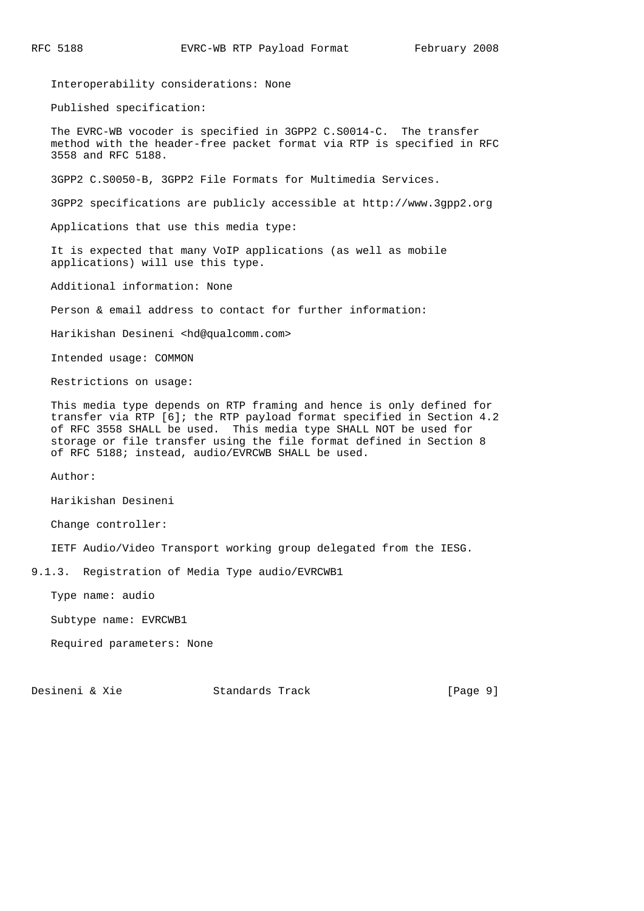Interoperability considerations: None

Published specification:

 The EVRC-WB vocoder is specified in 3GPP2 C.S0014-C. The transfer method with the header-free packet format via RTP is specified in RFC 3558 and RFC 5188.

3GPP2 C.S0050-B, 3GPP2 File Formats for Multimedia Services.

3GPP2 specifications are publicly accessible at http://www.3gpp2.org

Applications that use this media type:

 It is expected that many VoIP applications (as well as mobile applications) will use this type.

Additional information: None

Person & email address to contact for further information:

Harikishan Desineni <hd@qualcomm.com>

Intended usage: COMMON

Restrictions on usage:

 This media type depends on RTP framing and hence is only defined for transfer via RTP [6]; the RTP payload format specified in Section 4.2 of RFC 3558 SHALL be used. This media type SHALL NOT be used for storage or file transfer using the file format defined in Section 8 of RFC 5188; instead, audio/EVRCWB SHALL be used.

Author:

Harikishan Desineni

Change controller:

IETF Audio/Video Transport working group delegated from the IESG.

9.1.3. Registration of Media Type audio/EVRCWB1

Type name: audio

Subtype name: EVRCWB1

Required parameters: None

Desineni & Xie  $S$  Standards Track [Page 9]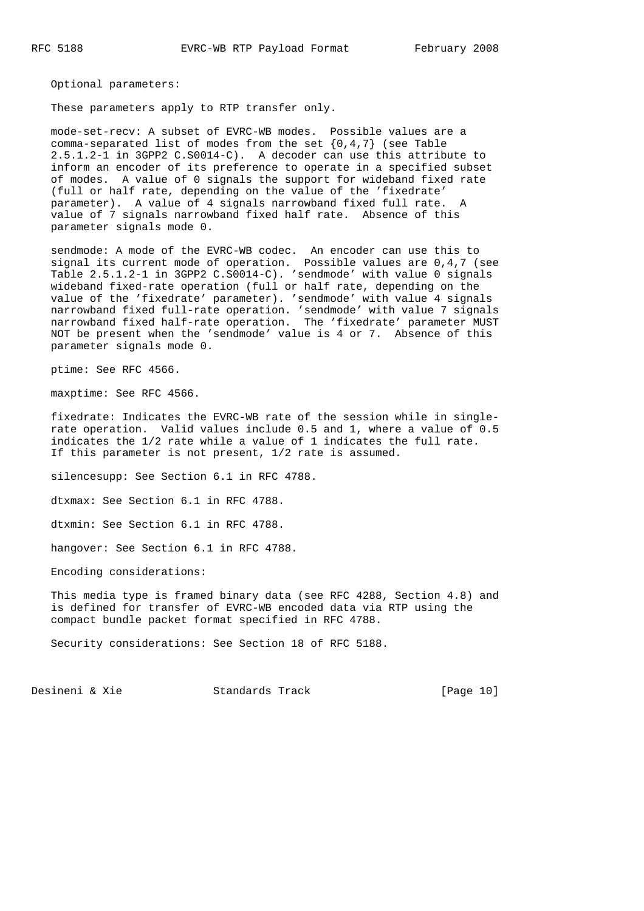Optional parameters:

These parameters apply to RTP transfer only.

 mode-set-recv: A subset of EVRC-WB modes. Possible values are a comma-separated list of modes from the set {0,4,7} (see Table 2.5.1.2-1 in 3GPP2 C.S0014-C). A decoder can use this attribute to inform an encoder of its preference to operate in a specified subset of modes. A value of 0 signals the support for wideband fixed rate (full or half rate, depending on the value of the 'fixedrate' parameter). A value of 4 signals narrowband fixed full rate. A value of 7 signals narrowband fixed half rate. Absence of this parameter signals mode 0.

 sendmode: A mode of the EVRC-WB codec. An encoder can use this to signal its current mode of operation. Possible values are 0,4,7 (see Table 2.5.1.2-1 in 3GPP2 C.S0014-C). 'sendmode' with value 0 signals wideband fixed-rate operation (full or half rate, depending on the value of the 'fixedrate' parameter). 'sendmode' with value 4 signals narrowband fixed full-rate operation. 'sendmode' with value 7 signals narrowband fixed half-rate operation. The 'fixedrate' parameter MUST NOT be present when the 'sendmode' value is 4 or 7. Absence of this parameter signals mode 0.

ptime: See RFC 4566.

maxptime: See RFC 4566.

 fixedrate: Indicates the EVRC-WB rate of the session while in single rate operation. Valid values include 0.5 and 1, where a value of 0.5 indicates the 1/2 rate while a value of 1 indicates the full rate. If this parameter is not present, 1/2 rate is assumed.

silencesupp: See Section 6.1 in RFC 4788.

dtxmax: See Section 6.1 in RFC 4788.

dtxmin: See Section 6.1 in RFC 4788.

hangover: See Section 6.1 in RFC 4788.

Encoding considerations:

 This media type is framed binary data (see RFC 4288, Section 4.8) and is defined for transfer of EVRC-WB encoded data via RTP using the compact bundle packet format specified in RFC 4788.

Security considerations: See Section 18 of RFC 5188.

Desineni & Xie Standards Track [Page 10]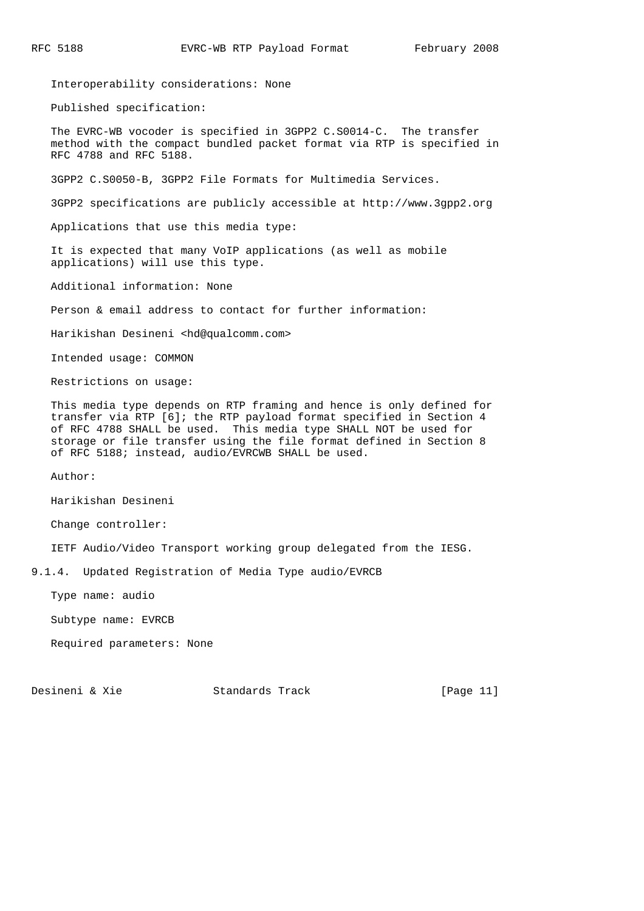Interoperability considerations: None

Published specification:

 The EVRC-WB vocoder is specified in 3GPP2 C.S0014-C. The transfer method with the compact bundled packet format via RTP is specified in RFC 4788 and RFC 5188.

3GPP2 C.S0050-B, 3GPP2 File Formats for Multimedia Services.

3GPP2 specifications are publicly accessible at http://www.3gpp2.org

Applications that use this media type:

 It is expected that many VoIP applications (as well as mobile applications) will use this type.

Additional information: None

Person & email address to contact for further information:

Harikishan Desineni <hd@qualcomm.com>

Intended usage: COMMON

Restrictions on usage:

 This media type depends on RTP framing and hence is only defined for transfer via RTP [6]; the RTP payload format specified in Section 4 of RFC 4788 SHALL be used. This media type SHALL NOT be used for storage or file transfer using the file format defined in Section 8 of RFC 5188; instead, audio/EVRCWB SHALL be used.

Author:

Harikishan Desineni

Change controller:

IETF Audio/Video Transport working group delegated from the IESG.

9.1.4. Updated Registration of Media Type audio/EVRCB

Type name: audio

Subtype name: EVRCB

Required parameters: None

Desineni & Xie Standards Track [Page 11]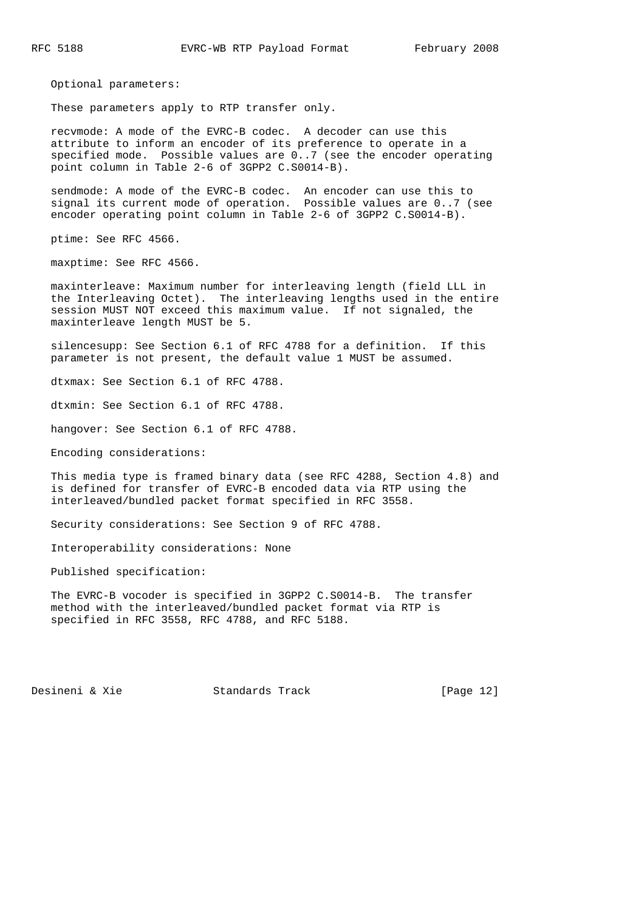Optional parameters:

These parameters apply to RTP transfer only.

 recvmode: A mode of the EVRC-B codec. A decoder can use this attribute to inform an encoder of its preference to operate in a specified mode. Possible values are 0..7 (see the encoder operating point column in Table 2-6 of 3GPP2 C.S0014-B).

 sendmode: A mode of the EVRC-B codec. An encoder can use this to signal its current mode of operation. Possible values are 0..7 (see encoder operating point column in Table 2-6 of 3GPP2 C.S0014-B).

ptime: See RFC 4566.

maxptime: See RFC 4566.

 maxinterleave: Maximum number for interleaving length (field LLL in the Interleaving Octet). The interleaving lengths used in the entire session MUST NOT exceed this maximum value. If not signaled, the maxinterleave length MUST be 5.

 silencesupp: See Section 6.1 of RFC 4788 for a definition. If this parameter is not present, the default value 1 MUST be assumed.

dtxmax: See Section 6.1 of RFC 4788.

dtxmin: See Section 6.1 of RFC 4788.

hangover: See Section 6.1 of RFC 4788.

Encoding considerations:

 This media type is framed binary data (see RFC 4288, Section 4.8) and is defined for transfer of EVRC-B encoded data via RTP using the interleaved/bundled packet format specified in RFC 3558.

Security considerations: See Section 9 of RFC 4788.

Interoperability considerations: None

Published specification:

 The EVRC-B vocoder is specified in 3GPP2 C.S0014-B. The transfer method with the interleaved/bundled packet format via RTP is specified in RFC 3558, RFC 4788, and RFC 5188.

Desineni & Xie Standards Track [Page 12]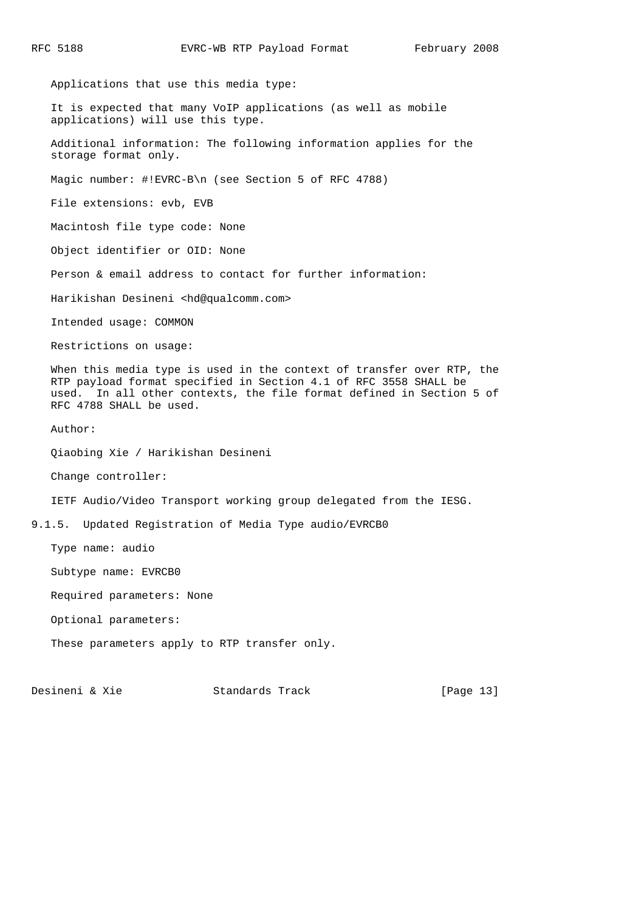Applications that use this media type: It is expected that many VoIP applications (as well as mobile applications) will use this type. Additional information: The following information applies for the storage format only. Magic number: #!EVRC-B\n (see Section 5 of RFC 4788) File extensions: evb, EVB Macintosh file type code: None Object identifier or OID: None Person & email address to contact for further information: Harikishan Desineni <hd@qualcomm.com> Intended usage: COMMON Restrictions on usage: When this media type is used in the context of transfer over RTP, the RTP payload format specified in Section 4.1 of RFC 3558 SHALL be used. In all other contexts, the file format defined in Section 5 of RFC 4788 SHALL be used. Author: Qiaobing Xie / Harikishan Desineni Change controller: IETF Audio/Video Transport working group delegated from the IESG. 9.1.5. Updated Registration of Media Type audio/EVRCB0 Type name: audio Subtype name: EVRCB0 Required parameters: None Optional parameters: These parameters apply to RTP transfer only.

Desineni & Xie Standards Track [Page 13]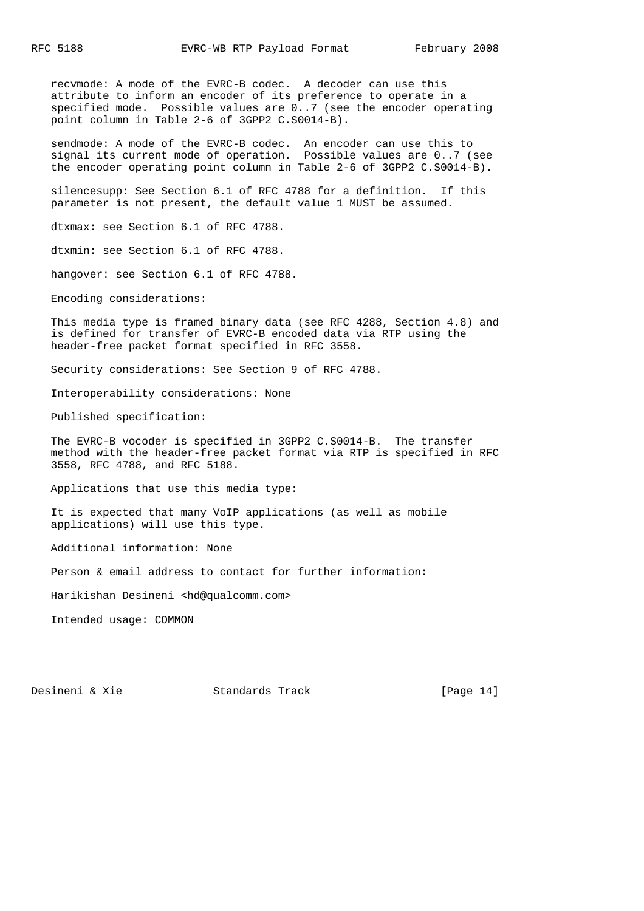recvmode: A mode of the EVRC-B codec. A decoder can use this attribute to inform an encoder of its preference to operate in a specified mode. Possible values are 0..7 (see the encoder operating point column in Table 2-6 of 3GPP2 C.S0014-B).

 sendmode: A mode of the EVRC-B codec. An encoder can use this to signal its current mode of operation. Possible values are 0..7 (see the encoder operating point column in Table 2-6 of 3GPP2 C.S0014-B).

 silencesupp: See Section 6.1 of RFC 4788 for a definition. If this parameter is not present, the default value 1 MUST be assumed.

dtxmax: see Section 6.1 of RFC 4788.

dtxmin: see Section 6.1 of RFC 4788.

hangover: see Section 6.1 of RFC 4788.

Encoding considerations:

 This media type is framed binary data (see RFC 4288, Section 4.8) and is defined for transfer of EVRC-B encoded data via RTP using the header-free packet format specified in RFC 3558.

Security considerations: See Section 9 of RFC 4788.

Interoperability considerations: None

Published specification:

 The EVRC-B vocoder is specified in 3GPP2 C.S0014-B. The transfer method with the header-free packet format via RTP is specified in RFC 3558, RFC 4788, and RFC 5188.

Applications that use this media type:

 It is expected that many VoIP applications (as well as mobile applications) will use this type.

Additional information: None

Person & email address to contact for further information:

Harikishan Desineni <hd@qualcomm.com>

Intended usage: COMMON

Desineni & Xie Standards Track [Page 14]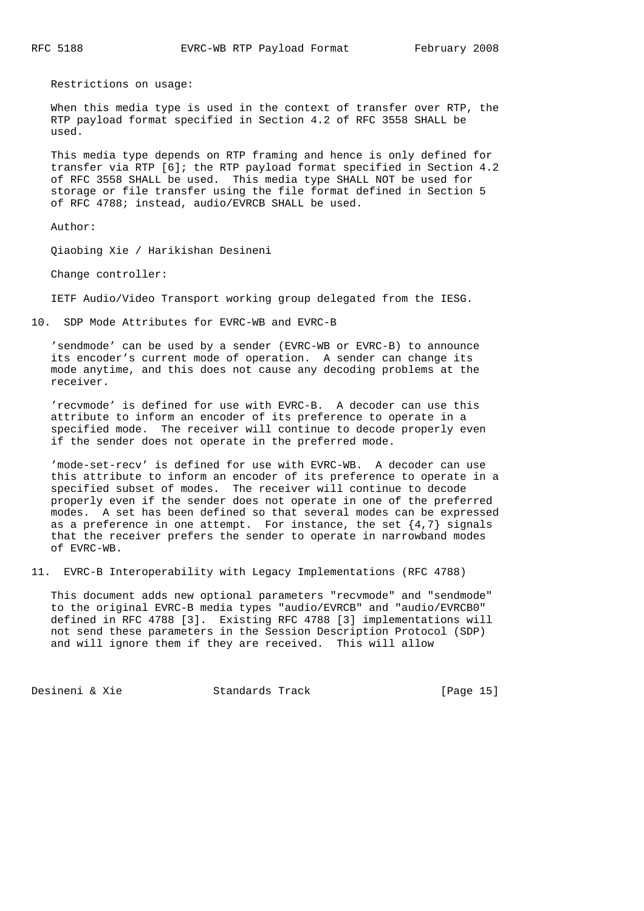Restrictions on usage:

 When this media type is used in the context of transfer over RTP, the RTP payload format specified in Section 4.2 of RFC 3558 SHALL be used.

 This media type depends on RTP framing and hence is only defined for transfer via RTP [6]; the RTP payload format specified in Section 4.2 of RFC 3558 SHALL be used. This media type SHALL NOT be used for storage or file transfer using the file format defined in Section 5 of RFC 4788; instead, audio/EVRCB SHALL be used.

Author:

Qiaobing Xie / Harikishan Desineni

Change controller:

IETF Audio/Video Transport working group delegated from the IESG.

10. SDP Mode Attributes for EVRC-WB and EVRC-B

 'sendmode' can be used by a sender (EVRC-WB or EVRC-B) to announce its encoder's current mode of operation. A sender can change its mode anytime, and this does not cause any decoding problems at the receiver.

 'recvmode' is defined for use with EVRC-B. A decoder can use this attribute to inform an encoder of its preference to operate in a specified mode. The receiver will continue to decode properly even if the sender does not operate in the preferred mode.

 'mode-set-recv' is defined for use with EVRC-WB. A decoder can use this attribute to inform an encoder of its preference to operate in a specified subset of modes. The receiver will continue to decode properly even if the sender does not operate in one of the preferred modes. A set has been defined so that several modes can be expressed as a preference in one attempt. For instance, the set  $\{4,7\}$  signals that the receiver prefers the sender to operate in narrowband modes of EVRC-WB.

11. EVRC-B Interoperability with Legacy Implementations (RFC 4788)

 This document adds new optional parameters "recvmode" and "sendmode" to the original EVRC-B media types "audio/EVRCB" and "audio/EVRCB0" defined in RFC 4788 [3]. Existing RFC 4788 [3] implementations will not send these parameters in the Session Description Protocol (SDP) and will ignore them if they are received. This will allow

Desineni & Xie Standards Track [Page 15]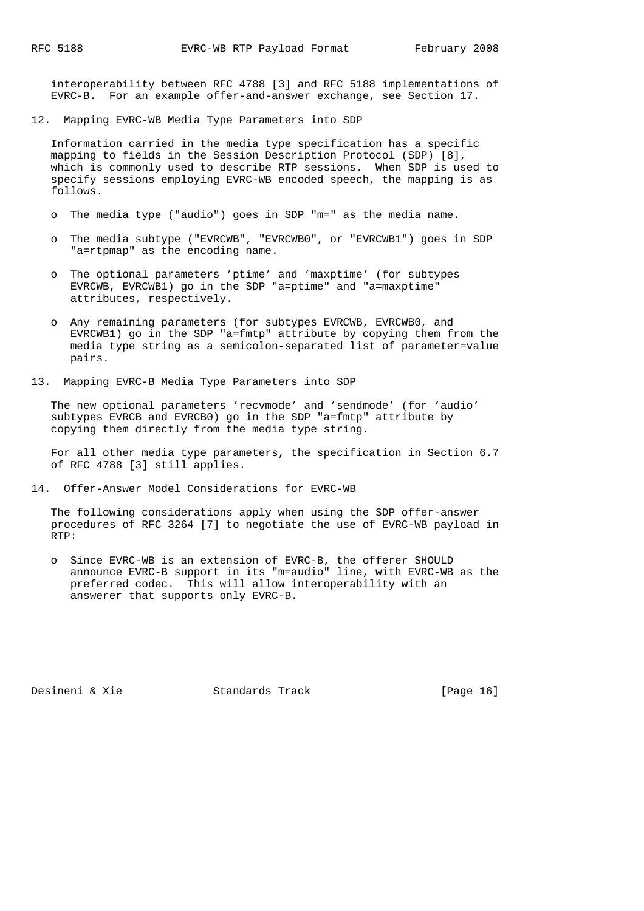interoperability between RFC 4788 [3] and RFC 5188 implementations of EVRC-B. For an example offer-and-answer exchange, see Section 17.

12. Mapping EVRC-WB Media Type Parameters into SDP

 Information carried in the media type specification has a specific mapping to fields in the Session Description Protocol (SDP) [8], which is commonly used to describe RTP sessions. When SDP is used to specify sessions employing EVRC-WB encoded speech, the mapping is as follows.

- o The media type ("audio") goes in SDP "m=" as the media name.
- o The media subtype ("EVRCWB", "EVRCWB0", or "EVRCWB1") goes in SDP "a=rtpmap" as the encoding name.
- o The optional parameters 'ptime' and 'maxptime' (for subtypes EVRCWB, EVRCWB1) go in the SDP "a=ptime" and "a=maxptime" attributes, respectively.
- o Any remaining parameters (for subtypes EVRCWB, EVRCWB0, and EVRCWB1) go in the SDP "a=fmtp" attribute by copying them from the media type string as a semicolon-separated list of parameter=value pairs.
- 13. Mapping EVRC-B Media Type Parameters into SDP

 The new optional parameters 'recvmode' and 'sendmode' (for 'audio' subtypes EVRCB and EVRCB0) go in the SDP "a=fmtp" attribute by copying them directly from the media type string.

 For all other media type parameters, the specification in Section 6.7 of RFC 4788 [3] still applies.

14. Offer-Answer Model Considerations for EVRC-WB

 The following considerations apply when using the SDP offer-answer procedures of RFC 3264 [7] to negotiate the use of EVRC-WB payload in RTP:

 o Since EVRC-WB is an extension of EVRC-B, the offerer SHOULD announce EVRC-B support in its "m=audio" line, with EVRC-WB as the preferred codec. This will allow interoperability with an answerer that supports only EVRC-B.

Desineni & Xie Standards Track [Page 16]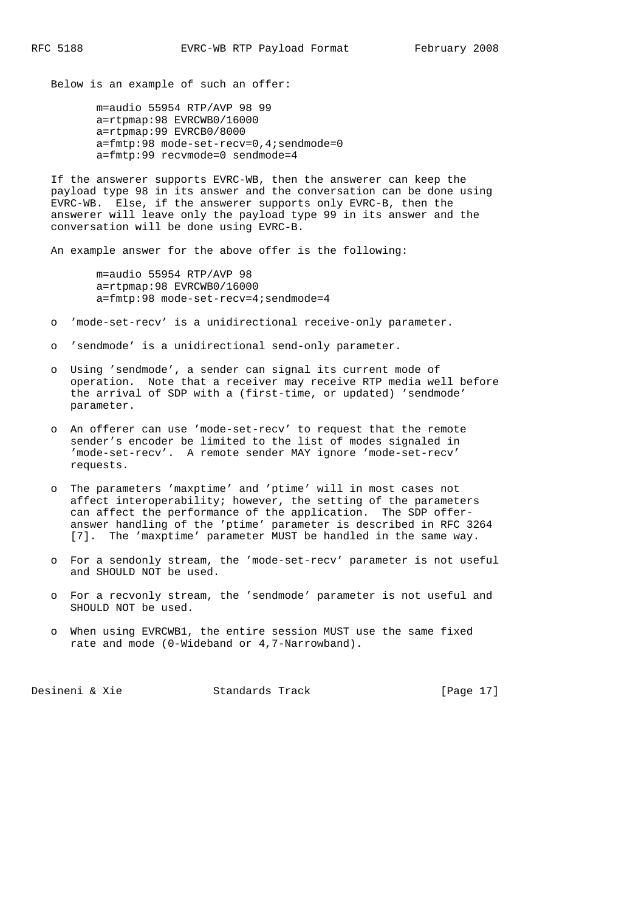Below is an example of such an offer:

 m=audio 55954 RTP/AVP 98 99 a=rtpmap:98 EVRCWB0/16000 a=rtpmap:99 EVRCB0/8000 a=fmtp:98 mode-set-recv=0,4;sendmode=0 a=fmtp:99 recvmode=0 sendmode=4

 If the answerer supports EVRC-WB, then the answerer can keep the payload type 98 in its answer and the conversation can be done using EVRC-WB. Else, if the answerer supports only EVRC-B, then the answerer will leave only the payload type 99 in its answer and the conversation will be done using EVRC-B.

An example answer for the above offer is the following:

 m=audio 55954 RTP/AVP 98 a=rtpmap:98 EVRCWB0/16000 a=fmtp:98 mode-set-recv=4;sendmode=4

- o 'mode-set-recv' is a unidirectional receive-only parameter.
- o 'sendmode' is a unidirectional send-only parameter.
- o Using 'sendmode', a sender can signal its current mode of operation. Note that a receiver may receive RTP media well before the arrival of SDP with a (first-time, or updated) 'sendmode' parameter.
- o An offerer can use 'mode-set-recv' to request that the remote sender's encoder be limited to the list of modes signaled in 'mode-set-recv'. A remote sender MAY ignore 'mode-set-recv' requests.
- o The parameters 'maxptime' and 'ptime' will in most cases not affect interoperability; however, the setting of the parameters can affect the performance of the application. The SDP offer answer handling of the 'ptime' parameter is described in RFC 3264 [7]. The 'maxptime' parameter MUST be handled in the same way.
- o For a sendonly stream, the 'mode-set-recv' parameter is not useful and SHOULD NOT be used.
- o For a recvonly stream, the 'sendmode' parameter is not useful and SHOULD NOT be used.
- o When using EVRCWB1, the entire session MUST use the same fixed rate and mode (0-Wideband or 4,7-Narrowband).

Desineni & Xie Standards Track [Page 17]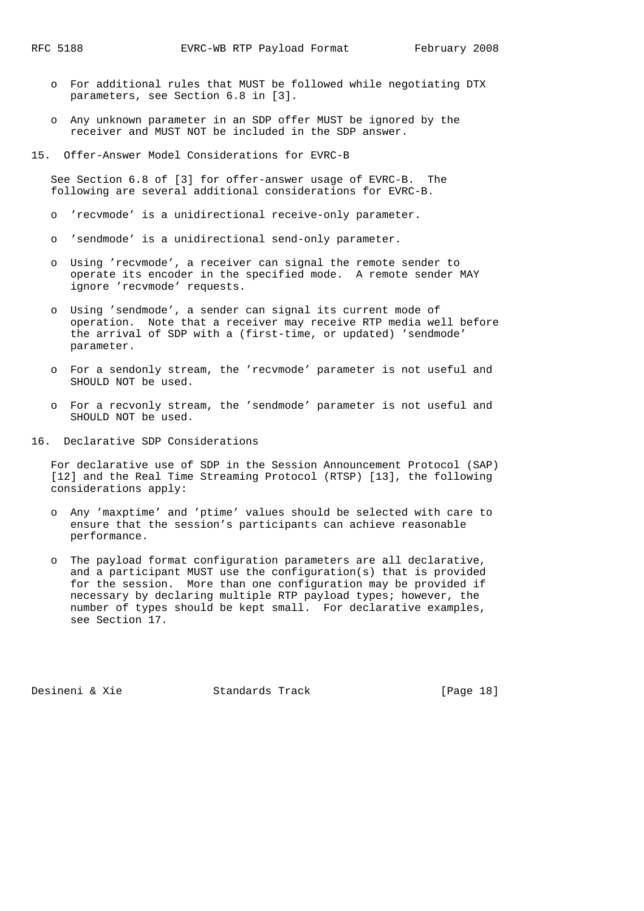- o For additional rules that MUST be followed while negotiating DTX parameters, see Section 6.8 in [3].
- o Any unknown parameter in an SDP offer MUST be ignored by the receiver and MUST NOT be included in the SDP answer.
- 15. Offer-Answer Model Considerations for EVRC-B

 See Section 6.8 of [3] for offer-answer usage of EVRC-B. The following are several additional considerations for EVRC-B.

- o 'recvmode' is a unidirectional receive-only parameter.
- o 'sendmode' is a unidirectional send-only parameter.
- o Using 'recvmode', a receiver can signal the remote sender to operate its encoder in the specified mode. A remote sender MAY ignore 'recvmode' requests.
- o Using 'sendmode', a sender can signal its current mode of operation. Note that a receiver may receive RTP media well before the arrival of SDP with a (first-time, or updated) 'sendmode' parameter.
- o For a sendonly stream, the 'recvmode' parameter is not useful and SHOULD NOT be used.
- o For a recvonly stream, the 'sendmode' parameter is not useful and SHOULD NOT be used.
- 16. Declarative SDP Considerations

 For declarative use of SDP in the Session Announcement Protocol (SAP) [12] and the Real Time Streaming Protocol (RTSP) [13], the following considerations apply:

- o Any 'maxptime' and 'ptime' values should be selected with care to ensure that the session's participants can achieve reasonable performance.
- o The payload format configuration parameters are all declarative, and a participant MUST use the configuration(s) that is provided for the session. More than one configuration may be provided if necessary by declaring multiple RTP payload types; however, the number of types should be kept small. For declarative examples, see Section 17.

Desineni & Xie Standards Track [Page 18]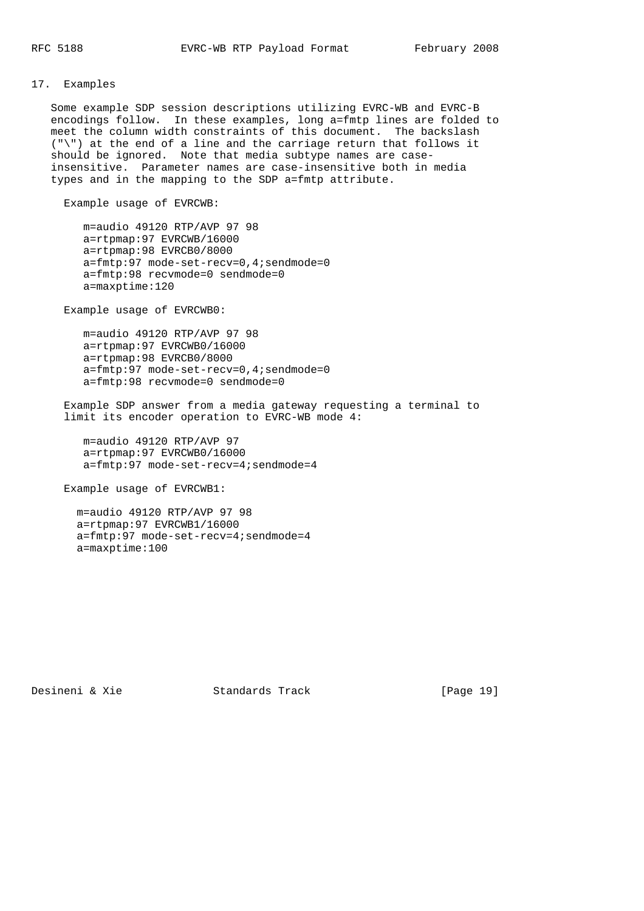## 17. Examples

 Some example SDP session descriptions utilizing EVRC-WB and EVRC-B encodings follow. In these examples, long a=fmtp lines are folded to meet the column width constraints of this document. The backslash ("\") at the end of a line and the carriage return that follows it should be ignored. Note that media subtype names are case insensitive. Parameter names are case-insensitive both in media types and in the mapping to the SDP a=fmtp attribute.

Example usage of EVRCWB:

 m=audio 49120 RTP/AVP 97 98 a=rtpmap:97 EVRCWB/16000 a=rtpmap:98 EVRCB0/8000 a=fmtp:97 mode-set-recv=0,4;sendmode=0 a=fmtp:98 recvmode=0 sendmode=0 a=maxptime:120

Example usage of EVRCWB0:

 m=audio 49120 RTP/AVP 97 98 a=rtpmap:97 EVRCWB0/16000 a=rtpmap:98 EVRCB0/8000 a=fmtp:97 mode-set-recv=0,4;sendmode=0 a=fmtp:98 recvmode=0 sendmode=0

 Example SDP answer from a media gateway requesting a terminal to limit its encoder operation to EVRC-WB mode 4:

 m=audio 49120 RTP/AVP 97 a=rtpmap:97 EVRCWB0/16000 a=fmtp:97 mode-set-recv=4;sendmode=4

Example usage of EVRCWB1:

 m=audio 49120 RTP/AVP 97 98 a=rtpmap:97 EVRCWB1/16000 a=fmtp:97 mode-set-recv=4;sendmode=4 a=maxptime:100

Desineni & Xie Standards Track [Page 19]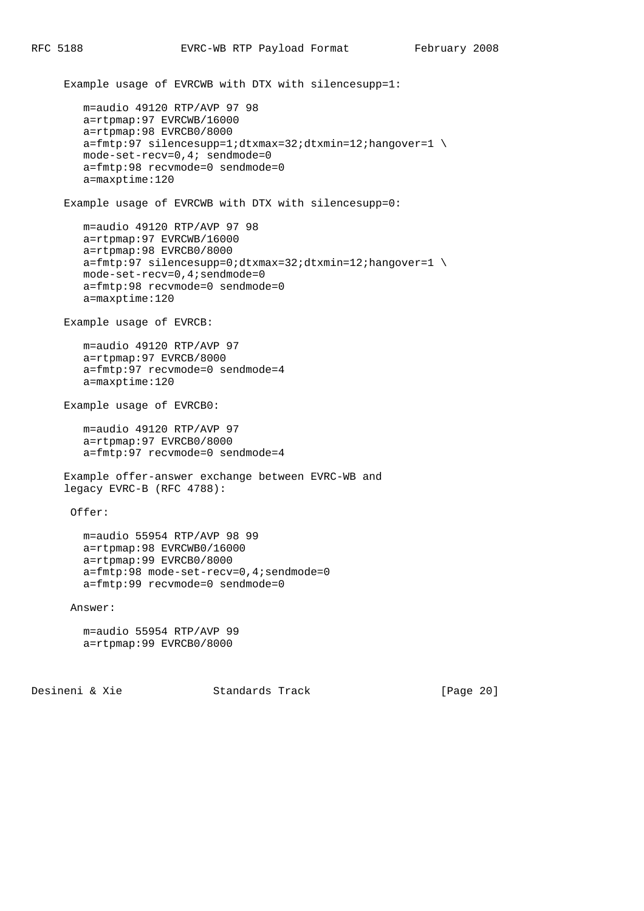Example usage of EVRCWB with DTX with silencesupp=1: m=audio 49120 RTP/AVP 97 98 a=rtpmap:97 EVRCWB/16000 a=rtpmap:98 EVRCB0/8000 a=fmtp:97 silencesupp=1;dtxmax=32;dtxmin=12;hangover=1 \ mode-set-recv=0,4; sendmode=0 a=fmtp:98 recvmode=0 sendmode=0 a=maxptime:120 Example usage of EVRCWB with DTX with silencesupp=0: m=audio 49120 RTP/AVP 97 98 a=rtpmap:97 EVRCWB/16000 a=rtpmap:98 EVRCB0/8000 a=fmtp:97 silencesupp=0;dtxmax=32;dtxmin=12;hangover=1 \ mode-set-recv=0,4;sendmode=0 a=fmtp:98 recvmode=0 sendmode=0 a=maxptime:120 Example usage of EVRCB: m=audio 49120 RTP/AVP 97 a=rtpmap:97 EVRCB/8000 a=fmtp:97 recvmode=0 sendmode=4 a=maxptime:120 Example usage of EVRCB0: m=audio 49120 RTP/AVP 97 a=rtpmap:97 EVRCB0/8000 a=fmtp:97 recvmode=0 sendmode=4 Example offer-answer exchange between EVRC-WB and legacy EVRC-B (RFC 4788): Offer: m=audio 55954 RTP/AVP 98 99 a=rtpmap:98 EVRCWB0/16000 a=rtpmap:99 EVRCB0/8000 a=fmtp:98 mode-set-recv=0,4;sendmode=0 a=fmtp:99 recvmode=0 sendmode=0 Answer: m=audio 55954 RTP/AVP 99 a=rtpmap:99 EVRCB0/8000

Desineni & Xie Standards Track [Page 20]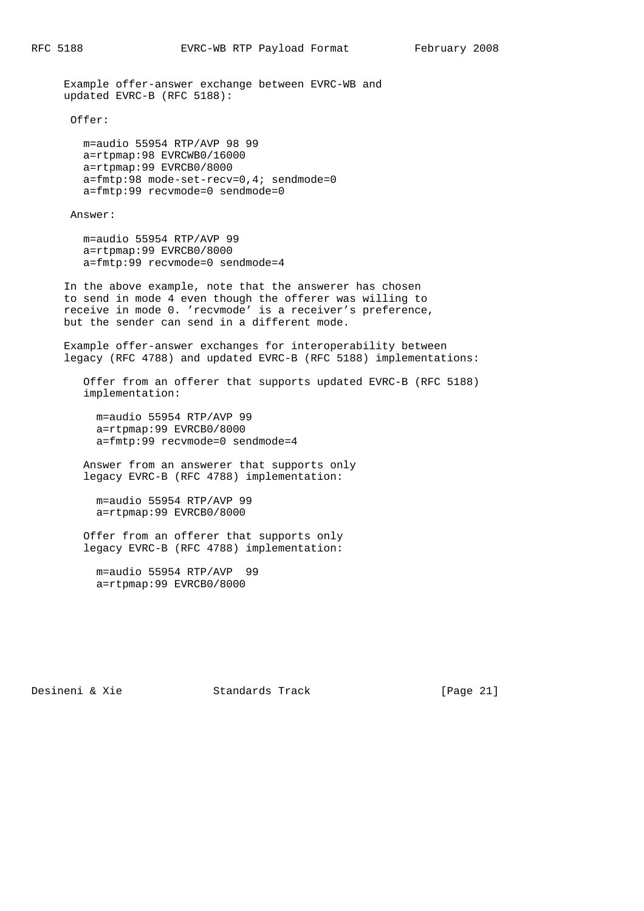Example offer-answer exchange between EVRC-WB and updated EVRC-B (RFC 5188):

Offer:

 m=audio 55954 RTP/AVP 98 99 a=rtpmap:98 EVRCWB0/16000 a=rtpmap:99 EVRCB0/8000 a=fmtp:98 mode-set-recv=0,4; sendmode=0 a=fmtp:99 recvmode=0 sendmode=0

Answer:

 m=audio 55954 RTP/AVP 99 a=rtpmap:99 EVRCB0/8000 a=fmtp:99 recvmode=0 sendmode=4

 In the above example, note that the answerer has chosen to send in mode 4 even though the offerer was willing to receive in mode 0. 'recvmode' is a receiver's preference, but the sender can send in a different mode.

 Example offer-answer exchanges for interoperability between legacy (RFC 4788) and updated EVRC-B (RFC 5188) implementations:

 Offer from an offerer that supports updated EVRC-B (RFC 5188) implementation:

 m=audio 55954 RTP/AVP 99 a=rtpmap:99 EVRCB0/8000 a=fmtp:99 recvmode=0 sendmode=4

 Answer from an answerer that supports only legacy EVRC-B (RFC 4788) implementation:

 m=audio 55954 RTP/AVP 99 a=rtpmap:99 EVRCB0/8000

 Offer from an offerer that supports only legacy EVRC-B (RFC 4788) implementation:

 m=audio 55954 RTP/AVP 99 a=rtpmap:99 EVRCB0/8000

Desineni & Xie Standards Track [Page 21]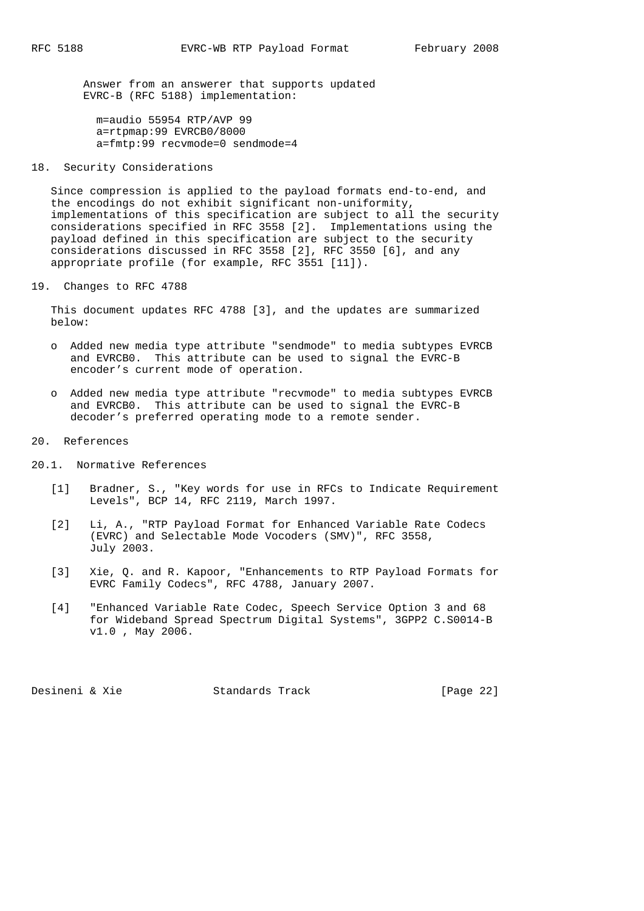Answer from an answerer that supports updated EVRC-B (RFC 5188) implementation:

 m=audio 55954 RTP/AVP 99 a=rtpmap:99 EVRCB0/8000 a=fmtp:99 recvmode=0 sendmode=4

## 18. Security Considerations

 Since compression is applied to the payload formats end-to-end, and the encodings do not exhibit significant non-uniformity, implementations of this specification are subject to all the security considerations specified in RFC 3558 [2]. Implementations using the payload defined in this specification are subject to the security considerations discussed in RFC 3558 [2], RFC 3550 [6], and any appropriate profile (for example, RFC 3551 [11]).

19. Changes to RFC 4788

 This document updates RFC 4788 [3], and the updates are summarized below:

- o Added new media type attribute "sendmode" to media subtypes EVRCB and EVRCB0. This attribute can be used to signal the EVRC-B encoder's current mode of operation.
- o Added new media type attribute "recvmode" to media subtypes EVRCB and EVRCB0. This attribute can be used to signal the EVRC-B decoder's preferred operating mode to a remote sender.
- 20. References
- 20.1. Normative References
	- [1] Bradner, S., "Key words for use in RFCs to Indicate Requirement Levels", BCP 14, RFC 2119, March 1997.
	- [2] Li, A., "RTP Payload Format for Enhanced Variable Rate Codecs (EVRC) and Selectable Mode Vocoders (SMV)", RFC 3558, July 2003.
	- [3] Xie, Q. and R. Kapoor, "Enhancements to RTP Payload Formats for EVRC Family Codecs", RFC 4788, January 2007.
	- [4] "Enhanced Variable Rate Codec, Speech Service Option 3 and 68 for Wideband Spread Spectrum Digital Systems", 3GPP2 C.S0014-B v1.0 , May 2006.

Desineni & Xie Standards Track [Page 22]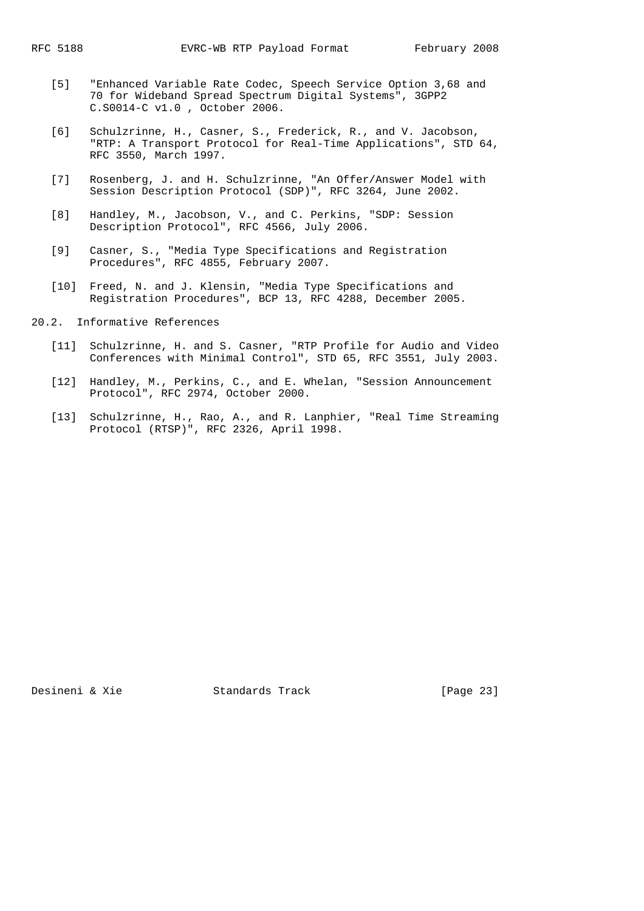- [5] "Enhanced Variable Rate Codec, Speech Service Option 3,68 and 70 for Wideband Spread Spectrum Digital Systems", 3GPP2 C.S0014-C v1.0 , October 2006.
- [6] Schulzrinne, H., Casner, S., Frederick, R., and V. Jacobson, "RTP: A Transport Protocol for Real-Time Applications", STD 64, RFC 3550, March 1997.
- [7] Rosenberg, J. and H. Schulzrinne, "An Offer/Answer Model with Session Description Protocol (SDP)", RFC 3264, June 2002.
- [8] Handley, M., Jacobson, V., and C. Perkins, "SDP: Session Description Protocol", RFC 4566, July 2006.
- [9] Casner, S., "Media Type Specifications and Registration Procedures", RFC 4855, February 2007.
- [10] Freed, N. and J. Klensin, "Media Type Specifications and Registration Procedures", BCP 13, RFC 4288, December 2005.
- 20.2. Informative References
	- [11] Schulzrinne, H. and S. Casner, "RTP Profile for Audio and Video Conferences with Minimal Control", STD 65, RFC 3551, July 2003.
	- [12] Handley, M., Perkins, C., and E. Whelan, "Session Announcement Protocol", RFC 2974, October 2000.
	- [13] Schulzrinne, H., Rao, A., and R. Lanphier, "Real Time Streaming Protocol (RTSP)", RFC 2326, April 1998.

Desineni & Xie Standards Track [Page 23]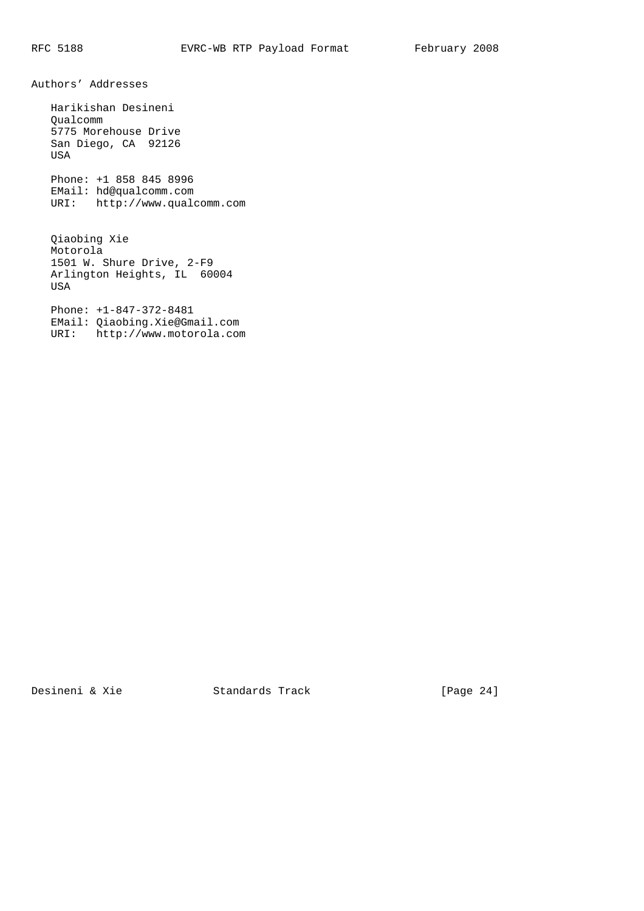Authors' Addresses

 Harikishan Desineni Qualcomm 5775 Morehouse Drive San Diego, CA 92126 USA Phone: +1 858 845 8996 EMail: hd@qualcomm.com URI: http://www.qualcomm.com Qiaobing Xie Motorola 1501 W. Shure Drive, 2-F9 Arlington Heights, IL 60004 USA

 Phone: +1-847-372-8481 EMail: Qiaobing.Xie@Gmail.com URI: http://www.motorola.com

Desineni & Xie Standards Track [Page 24]